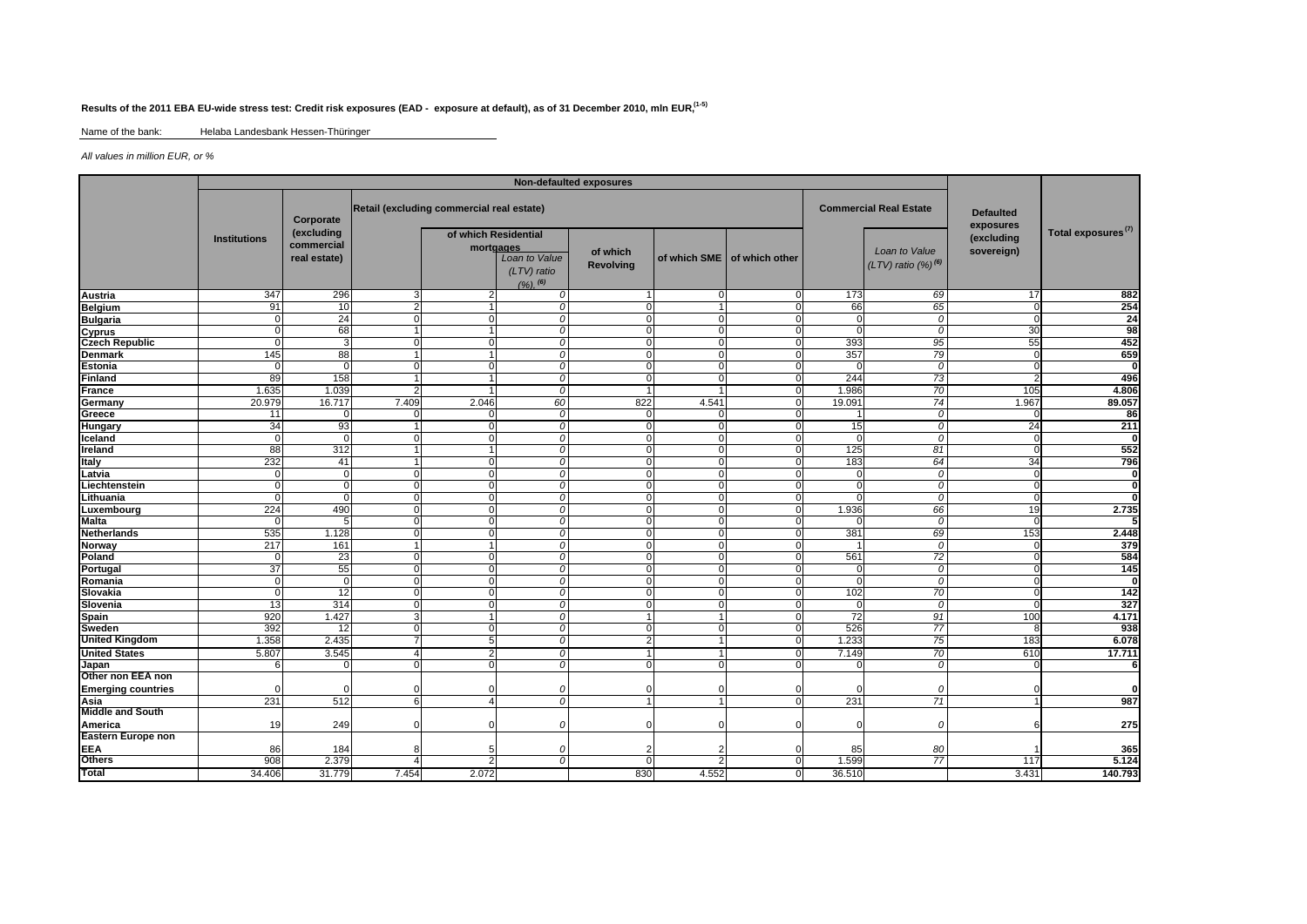## **Results of the 2011 EBA EU-wide stress test: Credit risk exposures (EAD - exposure at default), as of 31 December 2010, mln EUR, (1-5)**

Name of the bank: Helaba Landesbank Hessen-Thüringer

*All values in million EUR, or %*

|                           | Non-defaulted exposures |                                                       |                                           |                                   |                                                 |                              |                |                               |                               |                                            |                               |                                |
|---------------------------|-------------------------|-------------------------------------------------------|-------------------------------------------|-----------------------------------|-------------------------------------------------|------------------------------|----------------|-------------------------------|-------------------------------|--------------------------------------------|-------------------------------|--------------------------------|
|                           | <b>Institutions</b>     | Corporate<br>(excluding<br>commercial<br>real estate) | Retail (excluding commercial real estate) |                                   |                                                 |                              |                |                               | <b>Commercial Real Estate</b> |                                            | <b>Defaulted</b><br>exposures |                                |
|                           |                         |                                                       |                                           | of which Residential<br>mortgages | Loan to Value<br>(LTV) ratio<br>$(9/6)$ , $(6)$ | of which<br><b>Revolving</b> |                | of which SME I of which other |                               | Loan to Value<br>$(LTV)$ ratio $(%)^{(6)}$ | (excluding<br>sovereign)      | Total exposures <sup>(7)</sup> |
| Austria                   | 347                     | 296                                                   | 3                                         | 2                                 | O                                               |                              | $\Omega$       | $\mathbf 0$                   | 173                           | 69                                         | 17                            | 882                            |
| Belgium                   | 91                      | 10                                                    | $\overline{2}$                            |                                   | O                                               | $\Omega$                     |                | $\Omega$                      | 66                            | 65                                         |                               | 254                            |
| <b>Bulgaria</b>           |                         | 24                                                    | ſ                                         | O                                 | $\Omega$                                        | $\Omega$                     | $\Omega$       | $\Omega$                      |                               | 0                                          |                               | $\overline{24}$                |
| <b>Cyprus</b>             | n                       | 68                                                    |                                           | $\overline{1}$                    | 0                                               | $\Omega$                     | 0              | $\Omega$                      |                               | 0                                          | 30                            | 98                             |
| <b>Czech Republic</b>     | ∩                       | 3                                                     | $\Omega$                                  | $\Omega$                          | $\Omega$                                        | $\Omega$                     | 0              | $\Omega$                      | 393                           | 95                                         | 55                            | 452                            |
| <b>Denmark</b>            | 145                     | 88                                                    |                                           | $\overline{1}$                    | $\Omega$                                        | $\Omega$                     | $\mathbf 0$    | $\Omega$                      | 357                           | 79                                         |                               | 659                            |
| <b>Estonia</b>            | n                       | $\Omega$                                              | $\Omega$                                  | $\Omega$                          | $\Omega$                                        | $\Omega$                     | $\mathbf 0$    | $\Omega$                      | $\Omega$                      | 0                                          |                               | O                              |
| Finland                   | 89                      | 158                                                   |                                           | $\overline{1}$                    | 0                                               | $\Omega$                     | $\mathbf 0$    | $\mathbf 0$                   | 244                           | 73                                         |                               | 496                            |
| France                    | 1.635                   | 1.039                                                 | $\overline{2}$                            | 1                                 | 0                                               |                              |                | $\Omega$                      | 1.986                         | 70                                         | 105                           | 4.806                          |
| Germany                   | 20.979                  | 16.717                                                | 7.409                                     | 2.046                             | 60                                              | 822                          | 4.541          | $\mathbf 0$                   | 19.091                        | 74                                         | 1.967                         | 89.057                         |
| Greece                    | 11                      | $\Omega$                                              | ſ                                         | O                                 | 0                                               | $\Omega$                     | $\Omega$       | $\Omega$                      |                               | 0                                          |                               | 86                             |
| Hungary                   | 34                      | 93                                                    |                                           | $\overline{0}$                    | 0                                               | $\Omega$                     | 0              | $\mathbf 0$                   | 15                            | 0                                          | 24                            | 211                            |
| Iceland                   | $\cap$                  | $\Omega$                                              | $\Omega$                                  | $\Omega$                          | 0                                               | $\Omega$                     | 0              | $\mathbf 0$                   | $\Omega$                      | 0                                          |                               |                                |
| Ireland                   | 88                      | 312                                                   |                                           | 1                                 | 0                                               | $\Omega$                     | $\mathbf 0$    | $\Omega$                      | 125                           | 81                                         |                               | 552                            |
| <b>Italy</b>              | 232                     | 41                                                    |                                           | $\Omega$                          | 0                                               | $\overline{0}$               | $\mathbf 0$    | $\Omega$                      | 183                           | 64                                         | 34                            | 796                            |
| Latvia                    | U                       | $\overline{0}$                                        | $\Omega$                                  | $\Omega$                          | $\mathcal{O}$                                   | $\overline{0}$               | 0              | $\mathbf 0$                   | $\Omega$                      | 0                                          |                               | $\mathbf 0$                    |
| Liechtenstein             | U                       | $\Omega$                                              | $\Omega$                                  | $\Omega$                          | $\mathcal{O}$                                   | $\overline{0}$               | 0              | $\Omega$                      | $\Omega$                      | $\overline{0}$                             |                               | $\overline{0}$                 |
| Lithuania                 | U                       | $\Omega$                                              | $\Omega$                                  | $\overline{0}$                    | $\mathcal{O}$                                   | $\mathbf{0}$                 | $\mathbf 0$    | $\mathbf 0$                   | $\Omega$                      | 0                                          |                               | O                              |
| Luxembourg                | 224                     | 490                                                   | $\Omega$                                  | $\mathbf{0}$                      | $\mathcal{O}$                                   | $\Omega$                     | $\mathbf 0$    | $\mathbf 0$                   | 1.936                         | 66                                         | 19                            | 2.735                          |
| <b>Malta</b>              | $\Omega$                | 5                                                     | $\Omega$                                  | $\Omega$                          | $\mathcal{O}$                                   | $\Omega$                     | $\mathbf 0$    | $\Omega$                      | $\Omega$                      | $\mathcal{O}$                              |                               |                                |
| <b>Netherlands</b>        | 535                     | 1.128                                                 | $\Omega$                                  | $\mathbf{0}$                      | $\mathcal{O}$                                   | $\Omega$                     | 0              | $\mathbf 0$                   | 381                           | 69                                         | 153                           | 2.448                          |
| Norway                    | 217                     | 161                                                   | 1                                         | 11                                | $\mathcal{O}$                                   | $\mathbf 0$                  | 0              | $\mathbf 0$                   |                               | $\mathcal{O}$                              |                               | 379                            |
| Poland                    | O                       | 23                                                    | $\Omega$                                  | $\overline{0}$                    | 0                                               | $\mathbf 0$                  | $\mathbf 0$    | $\mathbf 0$                   | 561                           | 72                                         |                               | 584                            |
| Portugal                  | 37                      | 55                                                    | $\Omega$                                  | $\Omega$                          | $\Omega$                                        | $\overline{0}$               | $\mathbf 0$    | $\mathbf 0$                   | $\Omega$                      | $\mathcal{O}$                              |                               | $\overline{145}$               |
| Romania                   | O                       | $\mathbf 0$                                           | $\Omega$                                  | $\mathbf{0}$                      | 0                                               | $\Omega$                     | $\mathbf 0$    | $\mathbf 0$                   | $\Omega$                      | $\overline{0}$                             |                               | $\overline{\mathbf{0}}$        |
| Slovakia                  | $\Omega$                | 12                                                    | $\Omega$                                  | $\mathbf{0}$                      | 0                                               | $\Omega$                     | $\mathbf 0$    | $\Omega$                      | 102                           | 70                                         |                               | 142                            |
| Slovenia                  | 13                      | 314                                                   | $\Omega$                                  | $\overline{0}$                    | 0                                               | $\Omega$                     | 0              | $\Omega$                      | $\Omega$                      | 0                                          |                               | 327                            |
| <b>Spain</b>              | 920                     | 1.427                                                 | 3                                         |                                   | 0                                               |                              |                | $\Omega$                      | $\overline{72}$               | 91                                         | 10 <sup>c</sup>               | 4.171                          |
| Sweden                    | 392                     | 12                                                    |                                           | O                                 | $\Omega$                                        | $\Omega$                     | $\Omega$       | $\Omega$                      | 526                           | 77                                         |                               | 938                            |
| <b>United Kingdom</b>     | 1.358                   | 2.435                                                 |                                           | 5                                 | 0                                               |                              |                | $\overline{0}$                | 1.233                         | 75                                         | 183                           | 6.078                          |
| <b>United States</b>      | 5.807                   | 3.545                                                 | Δ                                         | 2                                 | 0                                               |                              |                | 0                             | 7.149                         | 70                                         | 610                           | 17.711                         |
| Japan                     | ค                       | $\Omega$                                              | $\Omega$                                  | O                                 | $\Omega$                                        | $\Omega$                     | $\Omega$       | $\Omega$                      |                               | 0                                          |                               | 6                              |
| Other non EEA non         |                         |                                                       |                                           |                                   |                                                 |                              |                |                               |                               |                                            |                               |                                |
| <b>Emerging countries</b> |                         | ſ                                                     |                                           |                                   |                                                 |                              |                |                               |                               |                                            |                               |                                |
| Asia                      | 231                     | 512                                                   | 6                                         | 4                                 | O                                               |                              |                | $\Omega$                      | 231                           | 71                                         |                               | 987                            |
| <b>Middle and South</b>   |                         |                                                       |                                           |                                   |                                                 |                              |                |                               |                               |                                            |                               |                                |
| America                   | 19                      | 249                                                   |                                           | n                                 | $\Omega$                                        | $\Omega$                     | $\Omega$       | $\Omega$                      | $\Omega$                      | $\Omega$                                   |                               | 275                            |
| <b>Eastern Europe non</b> |                         |                                                       |                                           |                                   |                                                 |                              |                |                               |                               |                                            |                               |                                |
| <b>EEA</b>                | 86                      | 184                                                   |                                           | 5                                 | O                                               |                              |                | $\Omega$                      | 85                            | 80                                         |                               | 365                            |
| <b>Others</b>             | 908                     | 2.379                                                 | $\Delta$                                  | $\overline{2}$                    | $\Omega$                                        | $\Omega$                     | $\overline{2}$ | $\Omega$                      | 1.599                         | $\overline{77}$                            | 117                           | 5.124                          |
| <b>Total</b>              | 34.406                  | 31.779                                                | 7.454                                     | 2.072                             |                                                 | 830                          | 4.552          | $\overline{0}$                | 36.510                        |                                            | 3.431                         | 140.793                        |